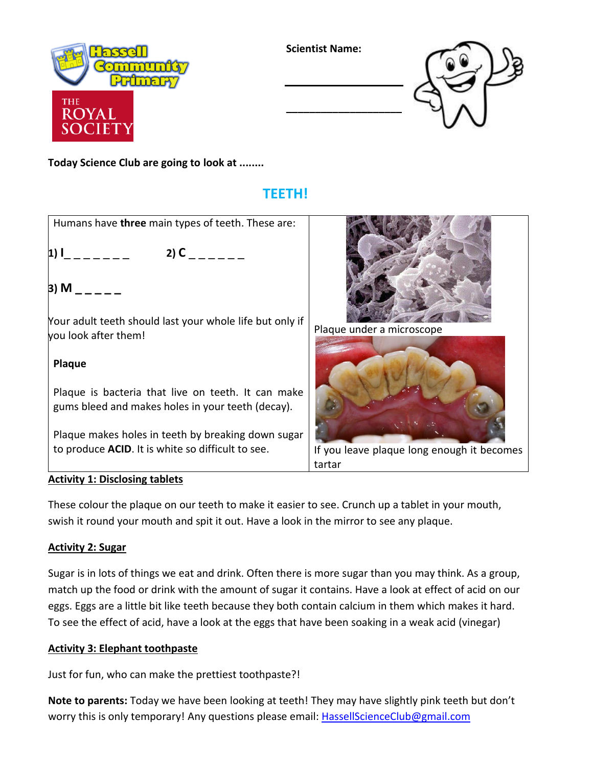

**Scientist Name:**

**\_\_\_\_\_\_\_\_\_\_\_\_\_\_\_\_\_\_\_\_**



**Today Science Club are going to look at ........**

# **TEETH!**

Humans have **three** main types of teeth. These are:

**1) l** \_ \_ \_ \_ \_ \_ \_ 2) **C** \_ \_ \_ \_ \_ \_

**3) M \_ \_ \_ \_ \_**

Your adult teeth should last your whole life but only if you look after them!

## **Plaque**

Plaque is bacteria that live on teeth. It can make gums bleed and makes holes in your teeth (decay).

Plaque makes holes in teeth by breaking down sugar to produce **ACID**. It is white so difficult to see.



Plaque under a microscope



If you leave plaque long enough it becomes tartar

### **Activity 1: Disclosing tablets**

These colour the plaque on our teeth to make it easier to see. Crunch up a tablet in your mouth, swish it round your mouth and spit it out. Have a look in the mirror to see any plaque.

### **Activity 2: Sugar**

Sugar is in lots of things we eat and drink. Often there is more sugar than you may think. As a group, match up the food or drink with the amount of sugar it contains. Have a look at effect of acid on our eggs. Eggs are a little bit like teeth because they both contain calcium in them which makes it hard. To see the effect of acid, have a look at the eggs that have been soaking in a weak acid (vinegar)

#### **Activity 3: Elephant toothpaste**

Just for fun, who can make the prettiest toothpaste?!

**Note to parents:** Today we have been looking at teeth! They may have slightly pink teeth but don't worry this is only temporary! Any questions please email: [HassellScienceClub@gmail.com](mailto:HassellScienceClub@gmail.com)